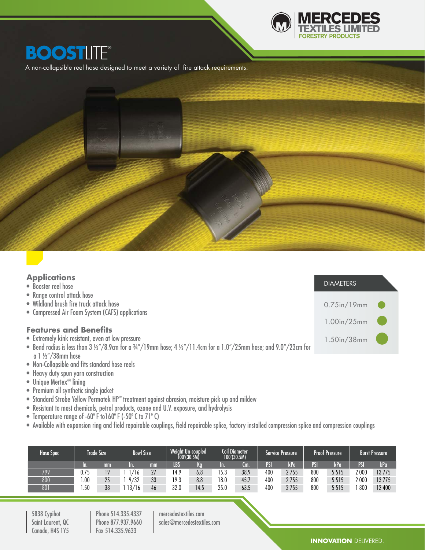

## **BOOSTLITE®**

A non-collapsible reel hose designed to meet a variety of  $f$ ire attack requirements.



| <b>Applications</b> |  |
|---------------------|--|
|                     |  |

| • Booster reel hose |  |
|---------------------|--|
|                     |  |
|                     |  |
|                     |  |

- Range control attack hose
- Wildland brush fire truck attack hose
- Compressed Air Foam System (CAFS) applications

### **Features and Benefits**

- Extremely kink resistant, even at low pressure
- Bend radius is less than 3 ½"/8.9cm for a ¾"/19mm hose; 4 ½"/11.4cm for a 1.0"/25mm hose; and 9.0"/23cm for a 1 ½"/38mm hose
- Non-Collapsible and fits standard hose reels
- Heavy duty spun yarn construction
- Unique Mertex<sup>®</sup> lining
- Premium all synthetic single jacket
- Standard Strobe Yellow Permatek HP™ treatment against abrasion, moisture pick up and mildew
- Resistant to most chemicals, petrol products, ozone and U.V. exposure, and hydrolysis
- Temperature range of -60º F to160º F (-50º C to 71º C)
- Available with expansion ring and field repairable couplings, field repairable splice, factory installed compression splice and compression couplings

| Hose Spec | <b>Trade Size</b> |    | Weight Un-coupled<br><b>Bowl Size</b><br>T00′(30.5M) |          | Coil Diameter<br>100'(30.5M) |      | Service Pressure |      | <b>Proof Pressure</b> |      | Burst Pressure' |         |                   |        |
|-----------|-------------------|----|------------------------------------------------------|----------|------------------------------|------|------------------|------|-----------------------|------|-----------------|---------|-------------------|--------|
|           | m.                | mm | In.                                                  | mm       | <b>LBS</b>                   | Kg   | m                | Cm.  | PSI                   | kPa  | PSI             | kPa     | <b>ATAL</b><br>'N | kPa    |
| 799       | 0.75              | 19 | 16                                                   | 27       | 4.9                          | 6.8  | 15.3             | 38.9 | 400                   | 2755 | 800             | 5515    | 2 000             | 13775  |
| 800       | .00               | 25 | 9/32                                                 | २२<br>ບບ | 19.3                         | 8.8  | 18.0             | 45.7 | 400                   | 2755 | 800             | 5 5 1 5 | 2 000             | 13775  |
| 801       | .50               | 38 | 13/16                                                | 46       | 32.0                         | 14.5 | 25.0             | 63.5 | 400                   | 2755 | 800             | 5 5 1 5 | 800               | 12 400 |

5838 Cypihot Saint Laurent, QC Canada, H4S 1Y5

Phone 514.335.4337 Phone 877.937.9660 Fax 514.335.9633

mercedestextiles.com sales@mercedestextiles.com 0.75in/19mm

DIAMETERS

1.00in/25mm

1.50in/38mm